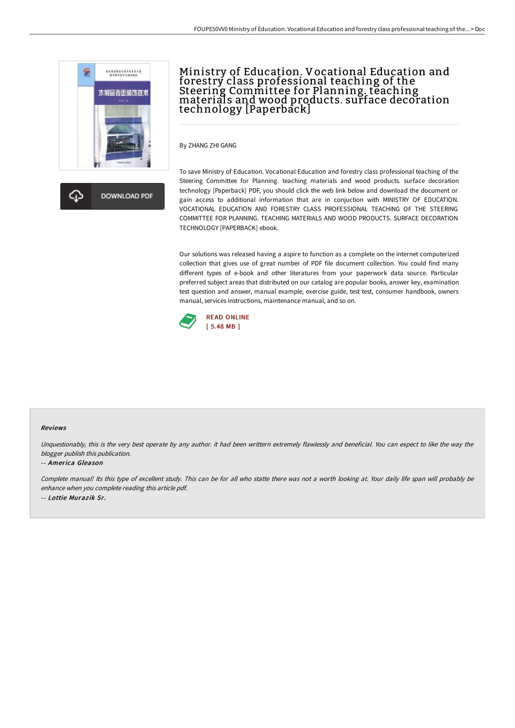

杰 **DOWNLOAD PDF** 

# Ministry of Education. Vocational Education and forestry class professional teaching of the Steering Committee for Planning. teaching materials and wood products. surface decoration technology [Paperback]

By ZHANG ZHI GANG

To save Ministry of Education. Vocational Education and forestry class professional teaching of the Steering Committee for Planning. teaching materials and wood products. surface decoration technology [Paperback] PDF, you should click the web link below and download the document or gain access to additional information that are in conjuction with MINISTRY OF EDUCATION. VOCATIONAL EDUCATION AND FORESTRY CLASS PROFESSIONAL TEACHING OF THE STEERING COMMITTEE FOR PLANNING. TEACHING MATERIALS AND WOOD PRODUCTS. SURFACE DECORATION TECHNOLOGY [PAPERBACK] ebook.

Our solutions was released having a aspire to function as a complete on the internet computerized collection that gives use of great number of PDF file document collection. You could find many different types of e-book and other literatures from your paperwork data source. Particular preferred subject areas that distributed on our catalog are popular books, answer key, examination test question and answer, manual example, exercise guide, test test, consumer handbook, owners manual, services instructions, maintenance manual, and so on.



#### Reviews

Unquestionably, this is the very best operate by any author. it had been writtern extremely flawlessly and beneficial. You can expect to like the way the blogger publish this publication.

#### -- America Gleason

Complete manual! Its this type of excellent study. This can be for all who statte there was not <sup>a</sup> worth looking at. Your daily life span will probably be enhance when you complete reading this article pdf. -- Lottie Murazik Sr.